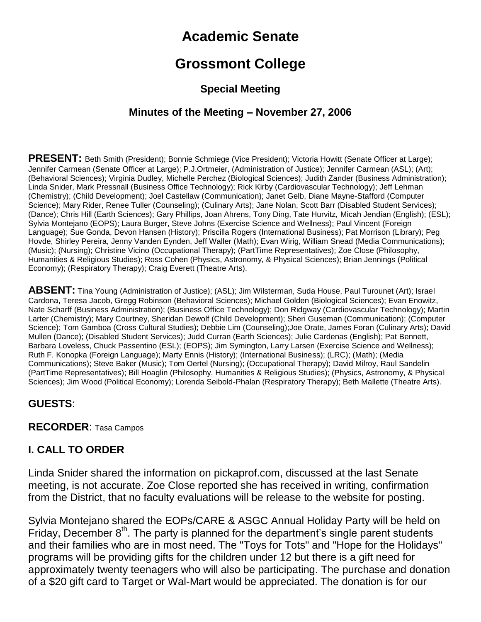# **Academic Senate**

## **Grossmont College**

## **Special Meeting**

## **Minutes of the Meeting – November 27, 2006**

**PRESENT:** Beth Smith (President); Bonnie Schmiege (Vice President); Victoria Howitt (Senate Officer at Large); Jennifer Carmean (Senate Officer at Large); P.J.Ortmeier, (Administration of Justice); Jennifer Carmean (ASL); (Art); (Behavioral Sciences); Virginia Dudley, Michelle Perchez (Biological Sciences); Judith Zander (Business Administration); Linda Snider, Mark Pressnall (Business Office Technology); Rick Kirby (Cardiovascular Technology); Jeff Lehman (Chemistry); (Child Development); Joel Castellaw (Communication); Janet Gelb, Diane Mayne-Stafford (Computer Science); Mary Rider, Renee Tuller (Counseling); (Culinary Arts); Jane Nolan, Scott Barr (Disabled Student Services); (Dance); Chris Hill (Earth Sciences); Gary Phillips, Joan Ahrens, Tony Ding, Tate Hurvitz, Micah Jendian (English); (ESL); Sylvia Montejano (EOPS); Laura Burger, Steve Johns (Exercise Science and Wellness); Paul Vincent (Foreign Language); Sue Gonda, Devon Hansen (History); Priscilla Rogers (International Business); Pat Morrison (Library); Peg Hovde, Shirley Pereira, Jenny Vanden Eynden, Jeff Waller (Math); Evan Wirig, William Snead (Media Communications); (Music); (Nursing); Christine Vicino (Occupational Therapy); (PartTime Representatives); Zoe Close (Philosophy, Humanities & Religious Studies); Ross Cohen (Physics, Astronomy, & Physical Sciences); Brian Jennings (Political Economy); (Respiratory Therapy); Craig Everett (Theatre Arts).

**ABSENT:** Tina Young (Administration of Justice); (ASL); Jim Wilsterman, Suda House, Paul Turounet (Art); Israel Cardona, Teresa Jacob, Gregg Robinson (Behavioral Sciences); Michael Golden (Biological Sciences); Evan Enowitz, Nate Scharff (Business Administration); (Business Office Technology); Don Ridgway (Cardiovascular Technology); Martin Larter (Chemistry); Mary Courtney, Sheridan Dewolf (Child Development); Sheri Guseman (Communication); (Computer Science); Tom Gamboa (Cross Cultural Studies); Debbie Lim (Counseling);Joe Orate, James Foran (Culinary Arts); David Mullen (Dance); (Disabled Student Services); Judd Curran (Earth Sciences); Julie Cardenas (English); Pat Bennett, Barbara Loveless, Chuck Passentino (ESL); (EOPS); Jim Symington, Larry Larsen (Exercise Science and Wellness); Ruth F. Konopka (Foreign Language); Marty Ennis (History); (International Business); (LRC); (Math); (Media Communications); Steve Baker (Music); Tom Oertel (Nursing); (Occupational Therapy); David Milroy, Raul Sandelin (PartTime Representatives); Bill Hoaglin (Philosophy, Humanities & Religious Studies); (Physics, Astronomy, & Physical Sciences); Jim Wood (Political Economy); Lorenda Seibold-Phalan (Respiratory Therapy); Beth Mallette (Theatre Arts).

#### **GUESTS**:

#### **RECORDER**: Tasa Campos

#### **I. CALL TO ORDER**

Linda Snider shared the information on pickaprof.com, discussed at the last Senate meeting, is not accurate. Zoe Close reported she has received in writing, confirmation from the District, that no faculty evaluations will be release to the website for posting.

Sylvia Montejano shared the EOPs/CARE & ASGC Annual Holiday Party will be held on Friday, December  $8<sup>th</sup>$ . The party is planned for the department's single parent students and their families who are in most need. The "Toys for Tots" and "Hope for the Holidays" programs will be providing gifts for the children under 12 but there is a gift need for approximately twenty teenagers who will also be participating. The purchase and donation of a \$20 gift card to Target or Wal-Mart would be appreciated. The donation is for our